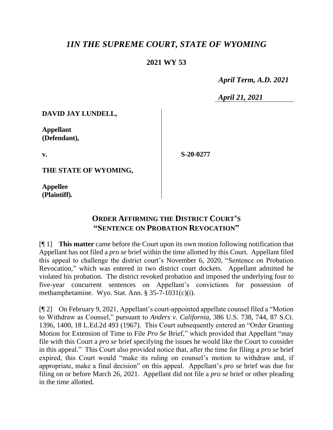## *1IN THE SUPREME COURT, STATE OF WYOMING*

## **2021 WY 53**

 *April Term, A.D. 2021*

*April 21, 2021*

**DAVID JAY LUNDELL,**

**Appellant (Defendant),**

**v.**

**S-20-0277**

**THE STATE OF WYOMING,**

**Appellee (Plaintiff).**

## **ORDER AFFIRMING THE DISTRICT COURT'S "SENTENCE ON PROBATION REVOCATION"**

[¶ 1] **This matter** came before the Court upon its own motion following notification that Appellant has not filed a *pro se* brief within the time allotted by this Court. Appellant filed this appeal to challenge the district court's November 6, 2020, "Sentence on Probation Revocation," which was entered in two district court dockets. Appellant admitted he violated his probation. The district revoked probation and imposed the underlying four to five-year concurrent sentences on Appellant's convictions for possession of methamphetamine. Wyo. Stat. Ann. § 35-7-1031(c)(i).

[¶ 2] On February 9, 2021, Appellant's court-appointed appellate counsel filed a "Motion to Withdraw as Counsel," pursuant to *Anders v. California*, 386 U.S. 738, 744, 87 S.Ct. 1396, 1400, 18 L.Ed.2d 493 (1967). This Court subsequently entered an "Order Granting Motion for Extension of Time to File *Pro Se* Brief," which provided that Appellant "may file with this Court a *pro se* brief specifying the issues he would like the Court to consider in this appeal." This Court also provided notice that, after the time for filing a *pro se* brief expired, this Court would "make its ruling on counsel's motion to withdraw and, if appropriate, make a final decision" on this appeal. Appellant's *pro se* brief was due for filing on or before March 26, 2021. Appellant did not file a *pro se* brief or other pleading in the time allotted.